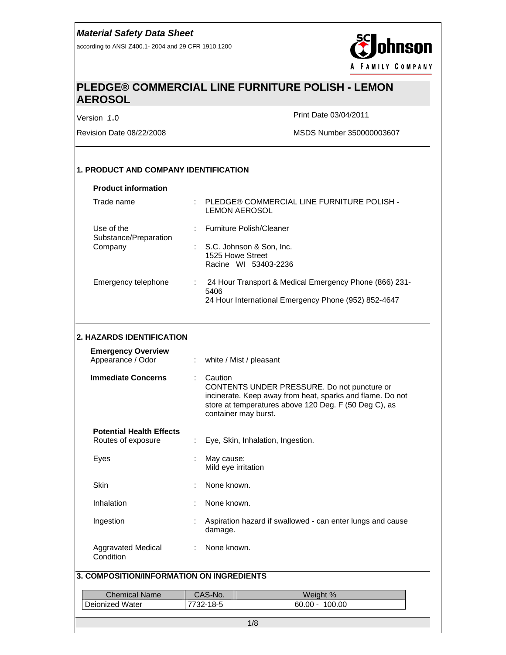according to ANSI Z400.1- 2004 and 29 CFR 1910.1200



# **PLEDGE® COMMERCIAL LINE FURNITURE POLISH - LEMON AEROSOL**

Version *1*.0 Print Date 03/04/2011

Revision Date 08/22/2008 MSDS Number 350000003607

### **1. PRODUCT AND COMPANY IDENTIFICATION**

#### **Product information**

| Trade name                          | PLEDGE® COMMERCIAL LINE FURNITURE POLISH -<br><b>LEMON AEROSOL</b>                                                     |
|-------------------------------------|------------------------------------------------------------------------------------------------------------------------|
| Use of the<br>Substance/Preparation | <b>Furniture Polish/Cleaner</b>                                                                                        |
| Company                             | S.C. Johnson & Son, Inc.<br>1525 Howe Street<br>Racine WI 53403-2236                                                   |
| Emergency telephone                 | 24 Hour Transport & Medical Emergency Phone (866) 231-<br>5406<br>24 Hour International Emergency Phone (952) 852-4647 |

#### **2. HAZARDS IDENTIFICATION**

| <b>Emergency Overview</b><br>Appearance / Odor        | ÷. |             | white / Mist / pleasant                                                                                                                                                                   |
|-------------------------------------------------------|----|-------------|-------------------------------------------------------------------------------------------------------------------------------------------------------------------------------------------|
| <b>Immediate Concerns</b>                             | ÷. | Caution     | CONTENTS UNDER PRESSURE. Do not puncture or<br>incinerate. Keep away from heat, sparks and flame. Do not<br>store at temperatures above 120 Deg. F (50 Deg C), as<br>container may burst. |
| <b>Potential Health Effects</b><br>Routes of exposure |    |             | Eye, Skin, Inhalation, Ingestion.                                                                                                                                                         |
| Eyes                                                  |    | May cause:  | Mild eye irritation                                                                                                                                                                       |
| <b>Skin</b>                                           |    | None known. |                                                                                                                                                                                           |
| Inhalation                                            |    | None known. |                                                                                                                                                                                           |
| Ingestion                                             |    | damage.     | Aspiration hazard if swallowed - can enter lungs and cause                                                                                                                                |
| <b>Aggravated Medical</b><br>Condition                |    | None known. |                                                                                                                                                                                           |
| 3. COMPOSITION/INFORMATION ON INGREDIENTS             |    |             |                                                                                                                                                                                           |
| <b>Chemical Name</b>                                  |    | CAS-No.     | Weight %                                                                                                                                                                                  |
| Deionized Water                                       |    | 7732-18-5   | $60.00 - 100.00$                                                                                                                                                                          |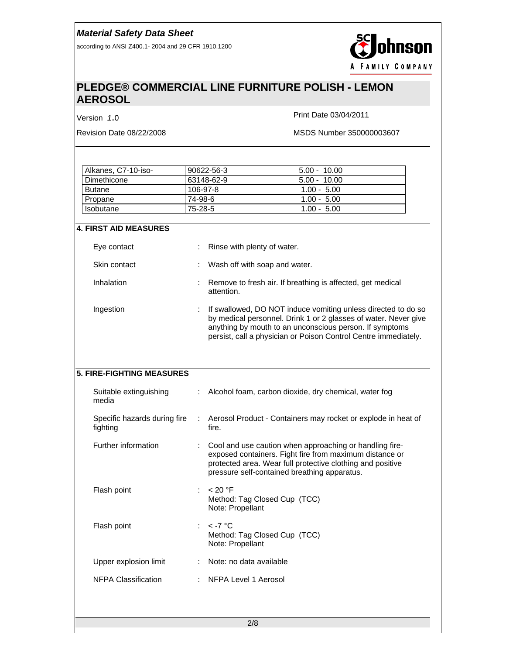according to ANSI Z400.1- 2004 and 29 CFR 1910.1200



# **PLEDGE® COMMERCIAL LINE FURNITURE POLISH - LEMON AEROSOL**

Version *1*.0 Print Date 03/04/2011

Revision Date 08/22/2008 MSDS Number 350000003607

| Alkanes, C7-10-iso- | $90622 - 56 - 3$ | $5.00 - 10.00$ |
|---------------------|------------------|----------------|
| Dimethicone         | 63148-62-9       | $5.00 - 10.00$ |
| <b>Butane</b>       | 106-97-8         | $1.00 - 5.00$  |
| Propane             | 74-98-6          | $1.00 - 5.00$  |
| <b>Isobutane</b>    | 75-28-5          | $1.00 - 5.00$  |

| ÷ | Rinse with plenty of water.                                                                                                                                                                                                                                    |
|---|----------------------------------------------------------------------------------------------------------------------------------------------------------------------------------------------------------------------------------------------------------------|
|   | Wash off with soap and water.                                                                                                                                                                                                                                  |
|   | Remove to fresh air. If breathing is affected, get medical<br>attention.                                                                                                                                                                                       |
| ÷ | If swallowed, DO NOT induce vomiting unless directed to do so<br>by medical personnel. Drink 1 or 2 glasses of water. Never give<br>anything by mouth to an unconscious person. If symptoms<br>persist, call a physician or Poison Control Centre immediately. |
|   |                                                                                                                                                                                                                                                                |
|   | Alcohol foam, carbon dioxide, dry chemical, water fog                                                                                                                                                                                                          |
|   | Aerosol Product - Containers may rocket or explode in heat of<br>fire.                                                                                                                                                                                         |
|   | Cool and use caution when approaching or handling fire-<br>exposed containers. Fight fire from maximum distance or<br>protected area. Wear full protective clothing and positive<br>pressure self-contained breathing apparatus.                               |
| ÷ | < 20 °F<br>Method: Tag Closed Cup (TCC)<br>Note: Propellant                                                                                                                                                                                                    |
| ÷ | $\lt$ -7 °C<br>Method: Tag Closed Cup (TCC)<br>Note: Propellant                                                                                                                                                                                                |
|   | Note: no data available                                                                                                                                                                                                                                        |
|   | <b>NFPA Level 1 Aerosol</b>                                                                                                                                                                                                                                    |
|   |                                                                                                                                                                                                                                                                |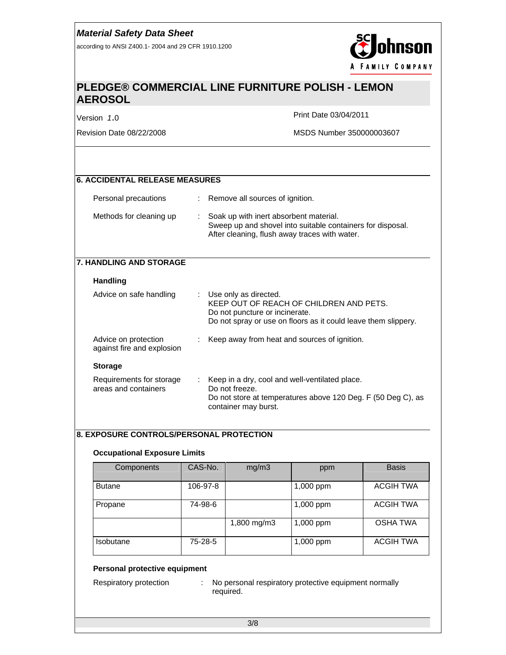according to ANSI Z400.1- 2004 and 29 CFR 1910.1200



### **PLEDGE® COMMERCIAL LINE FURNITURE POLISH - LEMON AEROSOL**

Version *1*.0 Print Date 03/04/2011

Revision Date 08/22/2008 MSDS Number 350000003607

### **6. ACCIDENTAL RELEASE MEASURES**

| Personal precautions    | : Remove all sources of ignition.                                                                                                                       |
|-------------------------|---------------------------------------------------------------------------------------------------------------------------------------------------------|
| Methods for cleaning up | : Soak up with inert absorbent material.<br>Sweep up and shovel into suitable containers for disposal.<br>After cleaning, flush away traces with water. |

#### **7. HANDLING AND STORAGE**

| <b>Handling</b>                                    |    |                                                                                                                                                                        |
|----------------------------------------------------|----|------------------------------------------------------------------------------------------------------------------------------------------------------------------------|
| Advice on safe handling                            |    | : Use only as directed.<br>KEEP OUT OF REACH OF CHILDREN AND PETS.<br>Do not puncture or incinerate.<br>Do not spray or use on floors as it could leave them slippery. |
| Advice on protection<br>against fire and explosion | ÷  | Keep away from heat and sources of ignition.                                                                                                                           |
| <b>Storage</b>                                     |    |                                                                                                                                                                        |
| Requirements for storage<br>areas and containers   | ÷. | Keep in a dry, cool and well-ventilated place.<br>Do not freeze.<br>Do not store at temperatures above 120 Deg. F (50 Deg C), as<br>container may burst.               |

#### **8. EXPOSURE CONTROLS/PERSONAL PROTECTION**

#### **Occupational Exposure Limits**

| Components    | CAS-No.  | mg/m3       | ppm         | <b>Basis</b>     |
|---------------|----------|-------------|-------------|------------------|
| <b>Butane</b> | 106-97-8 |             | $1,000$ ppm | <b>ACGIH TWA</b> |
| Propane       | 74-98-6  |             | $1,000$ ppm | <b>ACGIH TWA</b> |
|               |          | 1,800 mg/m3 | 1,000 ppm   | <b>OSHA TWA</b>  |
| Isobutane     | 75-28-5  |             | $1,000$ ppm | <b>ACGIH TWA</b> |

#### **Personal protective equipment**

Respiratory protection : No personal respiratory protective equipment normally required.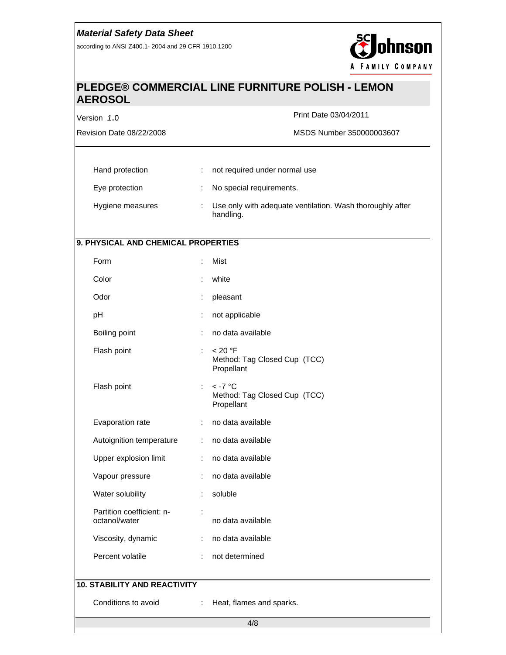according to ANSI Z400.1- 2004 and 29 CFR 1910.1200



# **PLEDGE® COMMERCIAL LINE FURNITURE POLISH - LEMON AEROSOL**

Version *1*.0 Print Date 03/04/2011

Revision Date 08/22/2008 MSDS Number 350000003607

| Hand protection  | not required under normal use                                            |
|------------------|--------------------------------------------------------------------------|
| Eye protection   | : No special requirements.                                               |
| Hygiene measures | : Use only with adequate ventilation. Wash thoroughly after<br>handling. |

#### **9. PHYSICAL AND CHEMICAL PROPERTIES**

| Form                                       |                      | Mist                                                    |
|--------------------------------------------|----------------------|---------------------------------------------------------|
| Color                                      |                      | white                                                   |
| Odor                                       | ÷                    | pleasant                                                |
| pH                                         | t.                   | not applicable                                          |
| Boiling point                              | ÷                    | no data available                                       |
| Flash point                                | ÷                    | < 20 °F<br>Method: Tag Closed Cup (TCC)<br>Propellant   |
| Flash point                                | ÷                    | $<$ -7 °C<br>Method: Tag Closed Cup (TCC)<br>Propellant |
| Evaporation rate                           | ÷                    | no data available                                       |
| Autoignition temperature                   | ÷.                   | no data available                                       |
| Upper explosion limit                      | ÷                    | no data available                                       |
| Vapour pressure                            | ÷                    | no data available                                       |
| Water solubility                           | ÷                    | soluble                                                 |
| Partition coefficient: n-<br>octanol/water | $\ddot{\phantom{a}}$ | no data available                                       |
| Viscosity, dynamic                         | ÷                    | no data available                                       |
| Percent volatile                           | ÷                    | not determined                                          |
| <b>10. STABILITY AND REACTIVITY</b>        |                      |                                                         |
| Conditions to avoid                        | ÷                    | Heat, flames and sparks.                                |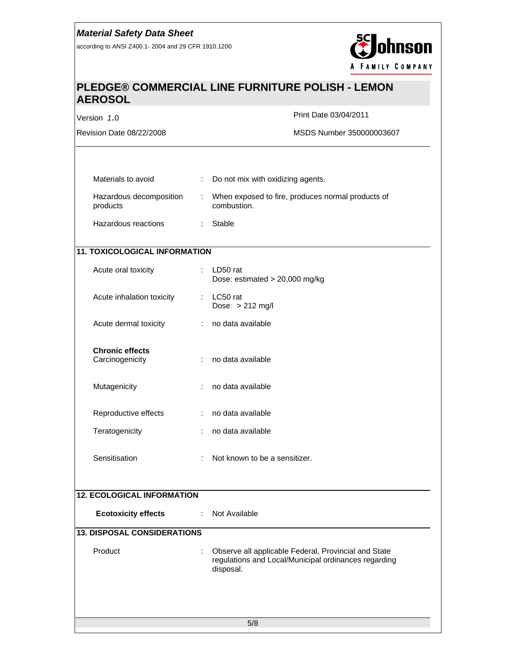according to ANSI Z400.1- 2004 and 29 CFR 1910.1200



# **PLEDGE® COMMERCIAL LINE FURNITURE POLISH - LEMON AEROSOL**

Version *1*.0 Print Date 03/04/2011

Revision Date 08/22/2008 MSDS Number 350000003607

Materials to avoid : Do not mix with oxidizing agents. Hazardous decomposition : When exposed to fire, produces normal products of products combustion.

Hazardous reactions : Stable

### **11. TOXICOLOGICAL INFORMATION**

| Acute oral toxicity                       | : $LD50$ rat<br>Dose: estimated $> 20,000$ mg/kg |  |
|-------------------------------------------|--------------------------------------------------|--|
| Acute inhalation toxicity                 | LC50 rat<br>÷<br>Dose: $> 212$ mg/l              |  |
| Acute dermal toxicity                     | no data available                                |  |
| <b>Chronic effects</b><br>Carcinogenicity | no data available                                |  |
| Mutagenicity                              | no data available                                |  |

Reproductive effects : no data available Teratogenicity : no data available

Sensitisation : Not known to be a sensitizer.

## **12. ECOLOGICAL INFORMATION**

| Not Available<br>$\mathbb{Z}^{\mathbb{Z}}$                                                                                |
|---------------------------------------------------------------------------------------------------------------------------|
|                                                                                                                           |
| Observe all applicable Federal, Provincial and State<br>regulations and Local/Municipal ordinances regarding<br>disposal. |
|                                                                                                                           |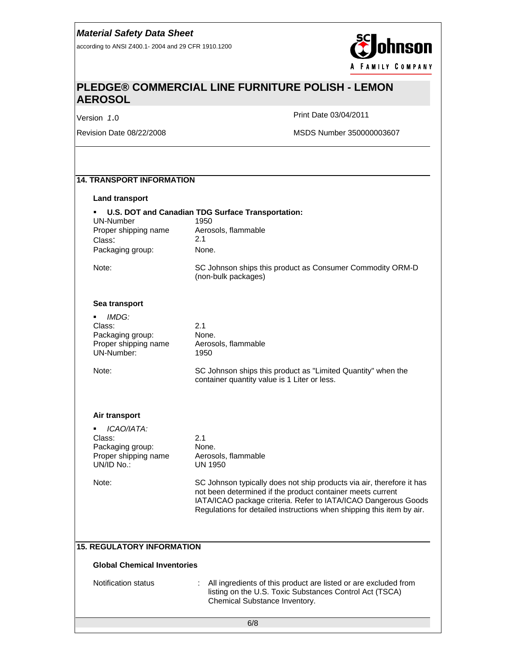according to ANSI Z400.1- 2004 and 29 CFR 1910.1200



# **PLEDGE® COMMERCIAL LINE FURNITURE POLISH - LEMON AEROSOL**

Version *1*.0 Print Date 03/04/2011

Revision Date 08/22/2008 MSDS Number 350000003607

### **14. TRANSPORT INFORMATION**

#### **Land transport**

| ٠<br><b>UN-Number</b><br>Proper shipping name<br>Class:<br>Packaging group:                          | U.S. DOT and Canadian TDG Surface Transportation:<br>1950<br>Aerosols, flammable<br>2.1<br>None.                                                                                                                                                                               |
|------------------------------------------------------------------------------------------------------|--------------------------------------------------------------------------------------------------------------------------------------------------------------------------------------------------------------------------------------------------------------------------------|
| Note:                                                                                                | SC Johnson ships this product as Consumer Commodity ORM-D<br>(non-bulk packages)                                                                                                                                                                                               |
| Sea transport                                                                                        |                                                                                                                                                                                                                                                                                |
| IMDG:<br>$\blacksquare$<br>Class:<br>Packaging group:<br>Proper shipping name<br>UN-Number:          | 2.1<br>None.<br>Aerosols, flammable<br>1950                                                                                                                                                                                                                                    |
| Note:                                                                                                | SC Johnson ships this product as "Limited Quantity" when the<br>container quantity value is 1 Liter or less.                                                                                                                                                                   |
| Air transport<br>ICAO/IATA:<br>٠<br>Class:<br>Packaging group:<br>Proper shipping name<br>UN/ID No.: | 2.1<br>None.<br>Aerosols, flammable<br><b>UN 1950</b>                                                                                                                                                                                                                          |
| Note:                                                                                                | SC Johnson typically does not ship products via air, therefore it has<br>not been determined if the product container meets current<br>IATA/ICAO package criteria. Refer to IATA/ICAO Dangerous Goods<br>Regulations for detailed instructions when shipping this item by air. |
| <b>15. REGULATORY INFORMATION</b>                                                                    |                                                                                                                                                                                                                                                                                |
| <b>Global Chemical Inventories</b>                                                                   |                                                                                                                                                                                                                                                                                |
| Notification status                                                                                  | All ingredients of this product are listed or are excluded from<br>listing on the U.S. Toxic Substances Control Act (TSCA)<br>Chemical Substance Inventory.                                                                                                                    |
|                                                                                                      | 6/8                                                                                                                                                                                                                                                                            |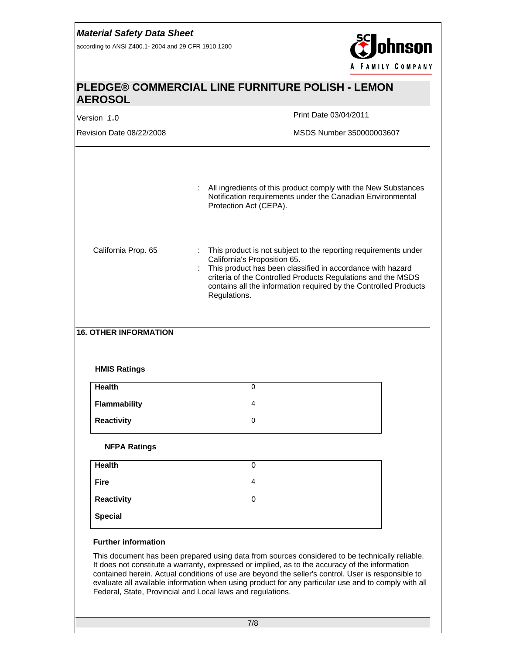# *Material Safety Data Sheet*  hnson according to ANSI Z400.1- 2004 and 29 CFR 1910.1200 A FAMILY COMPANY **PLEDGE® COMMERCIAL LINE FURNITURE POLISH - LEMON AEROSOL**  Version *1*.0 Print Date 03/04/2011 Revision Date 08/22/2008 MSDS Number 350000003607 : All ingredients of this product comply with the New Substances Notification requirements under the Canadian Environmental Protection Act (CEPA). California Prop. 65 : This product is not subject to the reporting requirements under California's Proposition 65. : This product has been classified in accordance with hazard criteria of the Controlled Products Regulations and the MSDS contains all the information required by the Controlled Products Regulations. **16. OTHER INFORMATION HMIS Ratings Health** 0 **Flammability** 4 **Reactivity** 0 **NFPA Ratings Health** 0 **Fire** 4 **Reactivity** 0 **Special Further information**

This document has been prepared using data from sources considered to be technically reliable. It does not constitute a warranty, expressed or implied, as to the accuracy of the information contained herein. Actual conditions of use are beyond the seller's control. User is responsible to evaluate all available information when using product for any particular use and to comply with all Federal, State, Provincial and Local laws and regulations.